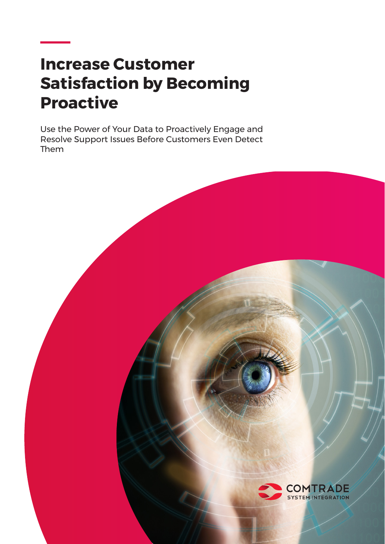# **Increase Customer Satisfaction by Becoming Proactive**

Use the Power of Your Data to Proactively Engage and Resolve Support Issues Before Customers Even Detect Them

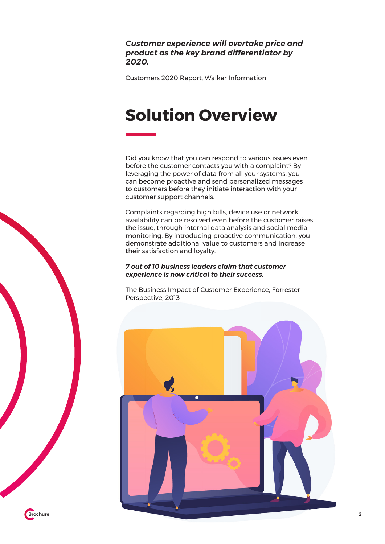### *Customer experience will overtake price and product as the key brand differentiator by 2020.*

Customers 2020 Report, Walker Information

# **Solution Overview**

Did you know that you can respond to various issues even before the customer contacts you with a complaint? By leveraging the power of data from all your systems, you can become proactive and send personalized messages to customers before they initiate interaction with your customer support channels.

Complaints regarding high bills, device use or network availability can be resolved even before the customer raises the issue, through internal data analysis and social media monitoring. By introducing proactive communication, you demonstrate additional value to customers and increase their satisfaction and loyalty.

#### *7 out of 10 business leaders claim that customer experience is now critical to their success.*

The Business Impact of Customer Experience, Forrester Perspective, 2013

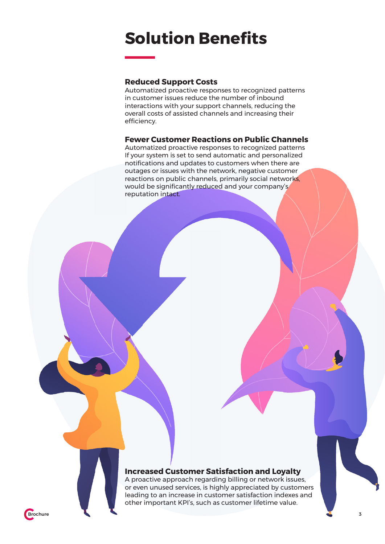### **Solution Benefits**

#### **Reduced Support Costs**

Automatized proactive responses to recognized patterns in customer issues reduce the number of inbound interactions with your support channels, reducing the overall costs of assisted channels and increasing their efficiency.

#### **Fewer Customer Reactions on Public Channels**

Automatized proactive responses to recognized patterns If your system is set to send automatic and personalized notifications and updates to customers when there are outages or issues with the network, negative customer reactions on public channels, primarily social networks, would be significantly reduced and your company's reputation intact.

### **Increased Customer Satisfaction and Loyalty**

A proactive approach regarding billing or network issues, or even unused services, is highly appreciated by customers leading to an increase in customer satisfaction indexes and other important KPI's, such as customer lifetime value.